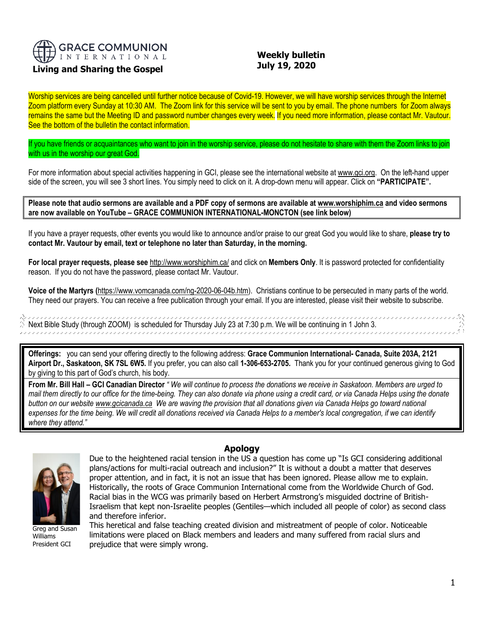

# **Living and Sharing the Gospel**

## **Weekly bulletin July 19, 2020**

Worship services are being cancelled until further notice because of Covid-19. However, we will have worship services through the Internet Zoom platform every Sunday at 10:30 AM. The Zoom link for this service will be sent to you by email. The phone numbers for Zoom always remains the same but the Meeting ID and password number changes every week. If you need more information, please contact Mr. Vautour. See the bottom of the bulletin the contact information.

If you have friends or acquaintances who want to join in the worship service, please do not hesitate to share with them the Zoom links to join with us in the worship our great God.

For more information about special activities happening in GCI, please see the international website a[t www.gci.org.](http://www.gci.org/) On the left-hand upper side of the screen, you will see 3 short lines. You simply need to click on it. A drop-down menu will appear. Click on **"PARTICIPATE".** 

**Please note that audio sermons are available and a PDF copy of sermons are available at [www.worshiphim.ca](http://www.worshiphim.ca/) and video sermons are now available on YouTube – GRACE COMMUNION INTERNATIONAL-MONCTON (see link below)**

If you have a prayer requests, other events you would like to announce and/or praise to our great God you would like to share, **please try to contact Mr. Vautour by email, text or telephone no later than Saturday, in the morning.**

**For local prayer requests, please see** <http://www.worshiphim.ca/> and click on **Members Only**. It is password protected for confidentiality reason. If you do not have the password, please contact Mr. Vautour.

**Voice of the Martyrs (**[https://www.vomcanada.com/ng-2020-06-04b.htm\)](https://www.vomcanada.com/ng-2020-06-04b.htm). Christians continue to be persecuted in many parts of the world. They need our prayers. You can receive a free publication through your email. If you are interested, please visit their website to subscribe.

,,,,,,,,,,,,,,,,,,,,,,,,,,,,,,,,,,, ,,,,,,,,,,,,,,,,,,,,,,,,,,,,,,,,,,,,,  $\%$  Next Bible Study (through ZOOM) is scheduled for Thursday July 23 at 7:30 p.m. We will be continuing in 1 John 3. 

**Offerings:** you can send your offering directly to the following address: **Grace Communion International- Canada, Suite 203A, 2121 Airport Dr., Saskatoon, SK 7SL 6W5.** If you prefer, you can also call **1-306-653-2705.** Thank you for your continued generous giving to God by giving to this part of God's church, his body.

**From Mr. Bill Hall – GCI Canadian Director** *" We will continue to process the donations we receive in Saskatoon. Members are urged to mail them directly to our office for the time-being. They can also donate via phone using a credit card, or via Canada Helps using the donate button on our websit[e www.gcicanada.ca](https://eur03.safelinks.protection.outlook.com/?url=http%3A%2F%2Fwww.gcicanada.ca%2F&data=02%7C01%7C%7C9fd93e29c2b44509e5a008d7caa78fdb%7C84df9e7fe9f640afb435aaaaaaaaaaaa%7C1%7C0%7C637200693331983394&sdata=VAGy4Q%2BxbhHuYaeEiDz%2FQyicT%2FoiY4Ir9kc8w5yHRPs%3D&reserved=0) We are waving the provision that all donations given via Canada Helps go toward national expenses for the time being. We will credit all donations received via Canada Helps to a member's local congregation, if we can identify where they attend."*



Greg and Susan Williams President GCI

### **Apology**

Due to the heightened racial tension in the US a question has come up "Is GCI considering additional plans/actions for multi-racial outreach and inclusion?" It is without a doubt a matter that deserves proper attention, and in fact, it is not an issue that has been ignored. Please allow me to explain. Historically, the roots of Grace Communion International come from the Worldwide Church of God. Racial bias in the WCG was primarily based on Herbert Armstrong's misguided doctrine of British-Israelism that kept non-Israelite peoples (Gentiles—which included all people of color) as second class and therefore inferior.

This heretical and false teaching created division and mistreatment of people of color. Noticeable limitations were placed on Black members and leaders and many suffered from racial slurs and prejudice that were simply wrong.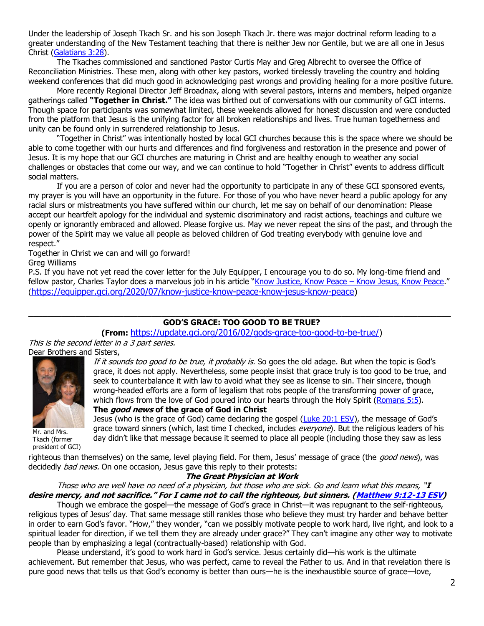Under the leadership of Joseph Tkach Sr. and his son Joseph Tkach Jr. there was major doctrinal reform leading to a greater understanding of the New Testament teaching that there is neither Jew nor Gentile, but we are all one in Jesus Christ [\(Galatians 3:28\)](https://biblia.com/bible/niv/Gal%203.28).

The Tkaches commissioned and sanctioned Pastor Curtis May and Greg Albrecht to oversee the Office of Reconciliation Ministries. These men, along with other key pastors, worked tirelessly traveling the country and holding weekend conferences that did much good in acknowledging past wrongs and providing healing for a more positive future.

More recently Regional Director Jeff Broadnax, along with several pastors, interns and members, helped organize gatherings called **"Together in Christ."** The idea was birthed out of conversations with our community of GCI interns. Though space for participants was somewhat limited, these weekends allowed for honest discussion and were conducted from the platform that Jesus is the unifying factor for all broken relationships and lives. True human togetherness and unity can be found only in surrendered relationship to Jesus.

"Together in Christ" was intentionally hosted by local GCI churches because this is the space where we should be able to come together with our hurts and differences and find forgiveness and restoration in the presence and power of Jesus. It is my hope that our GCI churches are maturing in Christ and are healthy enough to weather any social challenges or obstacles that come our way, and we can continue to hold "Together in Christ" events to address difficult social matters.

If you are a person of color and never had the opportunity to participate in any of these GCI sponsored events, my prayer is you will have an opportunity in the future. For those of you who have never heard a public apology for any racial slurs or mistreatments you have suffered within our church, let me say on behalf of our denomination: Please accept our heartfelt apology for the individual and systemic discriminatory and racist actions, teachings and culture we openly or ignorantly embraced and allowed. Please forgive us. May we never repeat the sins of the past, and through the power of the Spirit may we value all people as beloved children of God treating everybody with genuine love and respect."

Together in Christ we can and will go forward!

Greg Williams

P.S. If you have not yet read the cover letter for the July Equipper, I encourage you to do so. My long-time friend and fellow pastor, Charles Taylor does a marvelous job in his article "[Know Justice, Know Peace](https://equipper.gci.org/2020/07/know-justice-know-peace-know-jesus-know-peace) – Know Jesus, Know Peace." ([https://equipper.gci.org/2020/07/know-justice-know-peace-know-jesus-know-peace\)](https://equipper.gci.org/2020/07/know-justice-know-peace-know-jesus-know-peace)

### \_\_\_\_\_\_\_\_\_\_\_\_\_\_\_\_\_\_\_\_\_\_\_\_\_\_\_\_\_\_\_\_\_\_\_\_\_\_\_\_\_\_\_\_\_\_\_\_\_\_\_\_\_\_\_\_\_\_\_\_\_\_\_\_\_\_\_\_\_\_\_\_\_\_\_\_\_\_\_\_\_\_\_\_\_\_\_\_\_ **GOD'S GRACE: TOO GOOD TO BE TRUE?**

**(From:** [https://update.gci.org/2016/02/gods-grace-too-good-to-be-true/\)](https://update.gci.org/2016/02/gods-grace-too-good-to-be-true/)

This is the second letter in a 3 part series. Dear Brothers and Sisters,



Mr. and Mrs. Tkach (former president of GCI)

If it sounds too good to be true, it probably is. So goes the old adage. But when the topic is God's grace, it does not apply. Nevertheless, some people insist that grace truly is too good to be true, and seek to counterbalance it with law to avoid what they see as license to sin. Their sincere, though wrong-headed efforts are a form of legalism that robs people of the transforming power of grace, which flows from the love of God poured into our hearts through the Holy Spirit [\(Romans 5:5\)](https://biblia.com/bible/niv/Rom%205.5).

**The good news of the grace of God in Christ**

Jesus (who is the grace of God) came declaring the gospel [\(Luke 20:1 ESV](https://biblia.com/bible/esv/Luke%2020.1)), the message of God's grace toward sinners (which, last time I checked, includes everyone). But the religious leaders of his day didn't like that message because it seemed to place all people (including those they saw as less

righteous than themselves) on the same, level playing field. For them, Jesus' message of grace (the *good news*), was decidedly *bad news*. On one occasion, Jesus gave this reply to their protests:

## **The Great Physician at Work**

Those who are well have no need of a physician, but those who are sick. Go and learn what this means, "**I desire mercy, and not sacrifice." For I came not to call the righteous, but sinners. ([Matthew 9:12-13 ESV\)](https://biblia.com/bible/esv/Matt%209.12-13)**

Though we embrace the gospel—the message of God's grace in Christ—it was repugnant to the self-righteous, religious types of Jesus' day. That same message still rankles those who believe they must try harder and behave better in order to earn God's favor. "How," they wonder, "can we possibly motivate people to work hard, live right, and look to a spiritual leader for direction, if we tell them they are already under grace?" They can't imagine any other way to motivate people than by emphasizing a legal (contractually-based) relationship with God.

Please understand, it's good to work hard in God's service. Jesus certainly did—his work is the ultimate achievement. But remember that Jesus, who was perfect, came to reveal the Father to us. And in that revelation there is pure good news that tells us that God's economy is better than ours—he is the inexhaustible source of grace—love,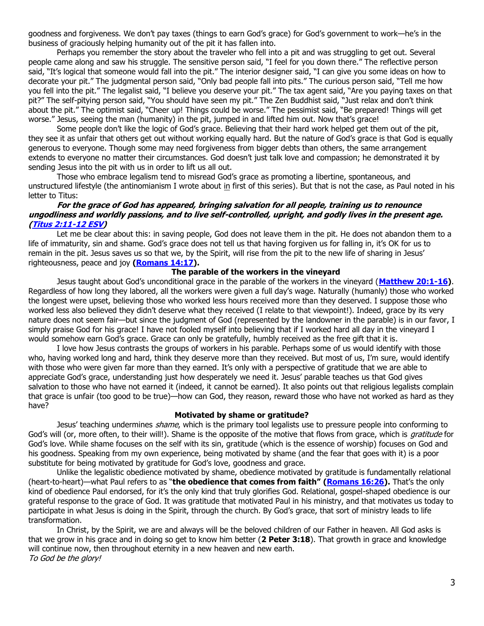goodness and forgiveness. We don't pay taxes (things to earn God's grace) for God's government to work—he's in the business of graciously helping humanity out of the pit it has fallen into.

Perhaps you remember the story about the traveler who fell into a pit and was struggling to get out. Several people came along and saw his struggle. The sensitive person said, "I feel for you down there." The reflective person said, "It's logical that someone would fall into the pit." The interior designer said, "I can give you some ideas on how to decorate your pit." The judgmental person said, "Only bad people fall into pits." The curious person said, "Tell me how you fell into the pit." The legalist said, "I believe you deserve your pit." The tax agent said, "Are you paying taxes on that pit?" The self-pitying person said, "You should have seen my pit." The Zen Buddhist said, "Just relax and don't think about the pit." The optimist said, "Cheer up! Things could be worse." The pessimist said, "Be prepared! Things will get worse." Jesus, seeing the man (humanity) in the pit, jumped in and lifted him out. Now that's grace!

Some people don't like the logic of God's grace. Believing that their hard work helped get them out of the pit, they see it as unfair that others get out without working equally hard. But the nature of God's grace is that God is equally generous to everyone. Though some may need forgiveness from bigger debts than others, the same arrangement extends to everyone no matter their circumstances. God doesn't just talk love and compassion; he demonstrated it by sending Jesus into the pit with us in order to lift us all out.

Those who embrace legalism tend to misread God's grace as promoting a libertine, spontaneous, and unstructured lifestyle (the ant[in](https://update.gci.org/category/president/page/2/)omianism I wrote about in first of this series). But that is not the case, as Paul noted in his letter to Titus:

### **For the grace of God has appeared, bringing salvation for all people, training us to renounce ungodliness and worldly passions, and to live self-controlled, upright, and godly lives in the present age. [\(Titus 2:11-12 ESV\)](https://biblia.com/bible/esv/Titus%202.11-12)**

Let me be clear about this: in saving people, God does not leave them in the pit. He does not abandon them to a life of immaturity, sin and shame. God's grace does not tell us that having forgiven us for falling in, it's OK for us to remain in the pit. Jesus saves us so that we, by the Spirit, will rise from the pit to the new life of sharing in Jesus' righteousness, peace and joy **[\(Romans 14:17\)](https://biblia.com/bible/niv/Rom%2014.17).**

### **The parable of the workers in the vineyard**

Jesus taught about God's unconditional grace in the parable of the workers in the vineyard (**[Matthew 20:1-16\)](https://biblia.com/bible/niv/Matt%2020.1-16)**. Regardless of how long they labored, all the workers were given a full day's wage. Naturally (humanly) those who worked the longest were upset, believing those who worked less hours received more than they deserved. I suppose those who worked less also believed they didn't deserve what they received (I relate to that viewpoint!). Indeed, grace by its very nature does not seem fair—but since the judgment of God (represented by the landowner in the parable) is in our favor, I simply praise God for his grace! I have not fooled myself into believing that if I worked hard all day in the vineyard I would somehow earn God's grace. Grace can only be gratefully, humbly received as the free gift that it is.

I love how Jesus contrasts the groups of workers in his parable. Perhaps some of us would identify with those who, having worked long and hard, think they deserve more than they received. But most of us, I'm sure, would identify with those who were given far more than they earned. It's only with a perspective of gratitude that we are able to appreciate God's grace, understanding just how desperately we need it. Jesus' parable teaches us that God gives salvation to those who have not earned it (indeed, it cannot be earned). It also points out that religious legalists complain that grace is unfair (too good to be true)—how can God, they reason, reward those who have not worked as hard as they have?

#### **Motivated by shame or gratitude?**

Jesus' teaching undermines *shame*, which is the primary tool legalists use to pressure people into conforming to God's will (or, more often, to their will!). Shame is the opposite of the motive that flows from grace, which is *gratitude* for God's love. While shame focuses on the self with its sin, gratitude (which is the essence of worship) focuses on God and his goodness. Speaking from my own experience, being motivated by shame (and the fear that goes with it) is a poor substitute for being motivated by gratitude for God's love, goodness and grace.

Unlike the legalistic obedience motivated by shame, obedience motivated by gratitude is fundamentally relational (heart-to-heart)—what Paul refers to as "**the obedience that comes from faith" [\(Romans 16:26\)](https://biblia.com/bible/niv/Rom%2016.26).** That's the only kind of obedience Paul endorsed, for it's the only kind that truly glorifies God. Relational, gospel-shaped obedience is our grateful response to the grace of God. It was gratitude that motivated Paul in his ministry, and that motivates us today to participate in what Jesus is doing in the Spirit, through the church. By God's grace, that sort of ministry leads to life transformation.

In Christ, by the Spirit, we are and always will be the beloved children of our Father in heaven. All God asks is that we grow in his grace and in doing so get to know him better (**2 Peter 3:18**). That growth in grace and knowledge will continue now, then throughout eternity in a new heaven and new earth. To God be the glory!